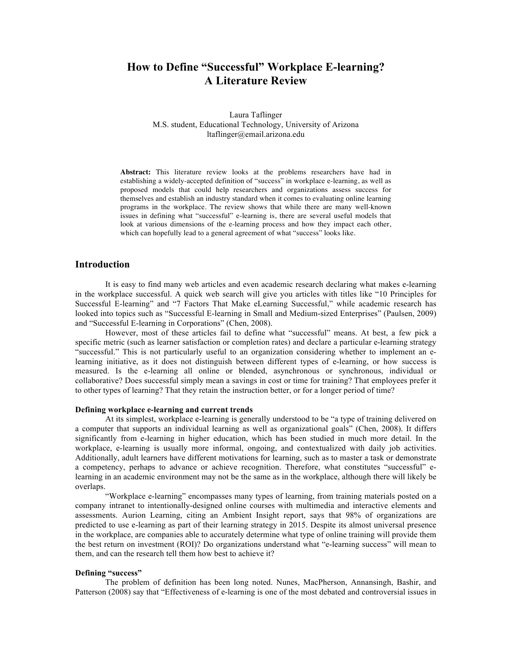# **How to Define "Successful" Workplace E-learning? A Literature Review**

Laura Taflinger M.S. student, Educational Technology, University of Arizona ltaflinger@email.arizona.edu

**Abstract:** This literature review looks at the problems researchers have had in establishing a widely-accepted definition of "success" in workplace e-learning, as well as proposed models that could help researchers and organizations assess success for themselves and establish an industry standard when it comes to evaluating online learning programs in the workplace. The review shows that while there are many well-known issues in defining what "successful" e-learning is, there are several useful models that look at various dimensions of the e-learning process and how they impact each other, which can hopefully lead to a general agreement of what "success" looks like.

### **Introduction**

It is easy to find many web articles and even academic research declaring what makes e-learning in the workplace successful. A quick web search will give you articles with titles like "10 Principles for Successful E-learning" and "7 Factors That Make eLearning Successful," while academic research has looked into topics such as "Successful E-learning in Small and Medium-sized Enterprises" (Paulsen, 2009) and "Successful E-learning in Corporations" (Chen, 2008).

However, most of these articles fail to define what "successful" means. At best, a few pick a specific metric (such as learner satisfaction or completion rates) and declare a particular e-learning strategy "successful." This is not particularly useful to an organization considering whether to implement an elearning initiative, as it does not distinguish between different types of e-learning, or how success is measured. Is the e-learning all online or blended, asynchronous or synchronous, individual or collaborative? Does successful simply mean a savings in cost or time for training? That employees prefer it to other types of learning? That they retain the instruction better, or for a longer period of time?

#### **Defining workplace e-learning and current trends**

At its simplest, workplace e-learning is generally understood to be "a type of training delivered on a computer that supports an individual learning as well as organizational goals" (Chen, 2008). It differs significantly from e-learning in higher education, which has been studied in much more detail. In the workplace, e-learning is usually more informal, ongoing, and contextualized with daily job activities. Additionally, adult learners have different motivations for learning, such as to master a task or demonstrate a competency, perhaps to advance or achieve recognition. Therefore, what constitutes "successful" elearning in an academic environment may not be the same as in the workplace, although there will likely be overlaps.

"Workplace e-learning" encompasses many types of learning, from training materials posted on a company intranet to intentionally-designed online courses with multimedia and interactive elements and assessments. Aurion Learning, citing an Ambient Insight report, says that 98% of organizations are predicted to use e-learning as part of their learning strategy in 2015. Despite its almost universal presence in the workplace, are companies able to accurately determine what type of online training will provide them the best return on investment (ROI)? Do organizations understand what "e-learning success" will mean to them, and can the research tell them how best to achieve it?

### **Defining "success"**

The problem of definition has been long noted. Nunes, MacPherson, Annansingh, Bashir, and Patterson (2008) say that "Effectiveness of e-learning is one of the most debated and controversial issues in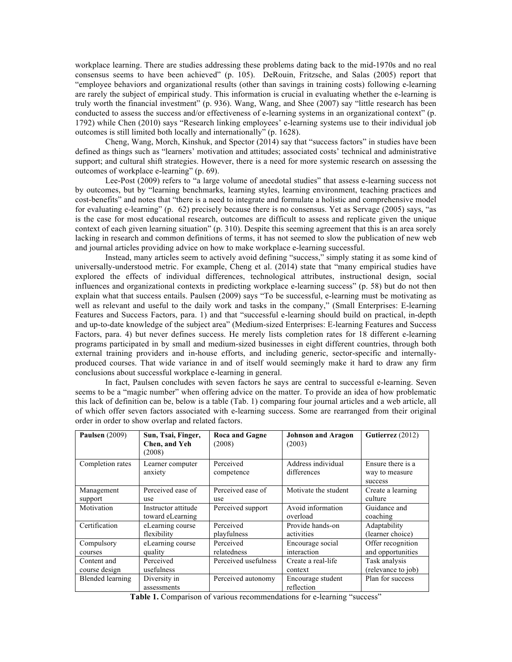workplace learning. There are studies addressing these problems dating back to the mid-1970s and no real consensus seems to have been achieved" (p. 105). DeRouin, Fritzsche, and Salas (2005) report that "employee behaviors and organizational results (other than savings in training costs) following e-learning are rarely the subject of empirical study. This information is crucial in evaluating whether the e-learning is truly worth the financial investment" (p. 936). Wang, Wang, and Shee (2007) say "little research has been conducted to assess the success and/or effectiveness of e-learning systems in an organizational context" (p. 1792) while Chen (2010) says "Research linking employees' e-learning systems use to their individual job outcomes is still limited both locally and internationally" (p. 1628).

Cheng, Wang, Morch, Kinshuk, and Spector (2014) say that "success factors" in studies have been defined as things such as "learners' motivation and attitudes; associated costs' technical and administrative support; and cultural shift strategies. However, there is a need for more systemic research on assessing the outcomes of workplace e-learning" (p. 69).

Lee-Post (2009) refers to "a large volume of anecdotal studies" that assess e-learning success not by outcomes, but by "learning benchmarks, learning styles, learning environment, teaching practices and cost-benefits" and notes that "there is a need to integrate and formulate a holistic and comprehensive model for evaluating e-learning" (p. 62) precisely because there is no consensus. Yet as Servage (2005) says, "as is the case for most educational research, outcomes are difficult to assess and replicate given the unique context of each given learning situation" (p. 310). Despite this seeming agreement that this is an area sorely lacking in research and common definitions of terms, it has not seemed to slow the publication of new web and journal articles providing advice on how to make workplace e-learning successful.

Instead, many articles seem to actively avoid defining "success," simply stating it as some kind of universally-understood metric. For example, Cheng et al. (2014) state that "many empirical studies have explored the effects of individual differences, technological attributes, instructional design, social influences and organizational contexts in predicting workplace e-learning success" (p. 58) but do not then explain what that success entails. Paulsen (2009) says "To be successful, e-learning must be motivating as well as relevant and useful to the daily work and tasks in the company," (Small Enterprises: E-learning Features and Success Factors, para. 1) and that "successful e-learning should build on practical, in-depth and up-to-date knowledge of the subject area" (Medium-sized Enterprises: E-learning Features and Success Factors, para. 4) but never defines success. He merely lists completion rates for 18 different e-learning programs participated in by small and medium-sized businesses in eight different countries, through both external training providers and in-house efforts, and including generic, sector-specific and internallyproduced courses. That wide variance in and of itself would seemingly make it hard to draw any firm conclusions about successful workplace e-learning in general.

In fact, Paulsen concludes with seven factors he says are central to successful e-learning. Seven seems to be a "magic number" when offering advice on the matter. To provide an idea of how problematic this lack of definition can be, below is a table (Tab. 1) comparing four journal articles and a web article, all of which offer seven factors associated with e-learning success. Some are rearranged from their original order in order to show overlap and related factors.

| <b>Paulsen</b> (2009) | Sun, Tsai, Finger,<br>Chen, and Yeh<br>(2008) | <b>Roca and Gagne</b><br>(2008) | <b>Johnson and Aragon</b><br>(2003) | Gutierrez (2012)                               |
|-----------------------|-----------------------------------------------|---------------------------------|-------------------------------------|------------------------------------------------|
| Completion rates      | Learner computer<br>anxiety                   | Perceived<br>competence         | Address individual<br>differences   | Ensure there is a<br>way to measure<br>success |
| Management            | Perceived ease of                             | Perceived ease of               | Motivate the student                | Create a learning                              |
| support               | use                                           | use                             |                                     | culture                                        |
| Motivation            | Instructor attitude<br>toward eLearning       | Perceived support               | Avoid information<br>overload       | Guidance and<br>coaching                       |
| Certification         | eLearning course                              | Perceived                       | Provide hands-on                    | Adaptability                                   |
|                       | flexibility                                   | playfulness                     | activities                          | (learner choice)                               |
| Compulsory            | eLearning course                              | Perceived                       | Encourage social                    | Offer recognition                              |
| courses               | quality                                       | relatedness                     | interaction                         | and opportunities                              |
| Content and           | Perceived                                     | Perceived usefulness            | Create a real-life                  | Task analysis                                  |
| course design         | usefulness                                    |                                 | context                             | (relevance to job)                             |
| Blended learning      | Diversity in<br>assessments                   | Perceived autonomy              | Encourage student<br>reflection     | Plan for success                               |

Table 1. Comparison of various recommendations for e-learning "success"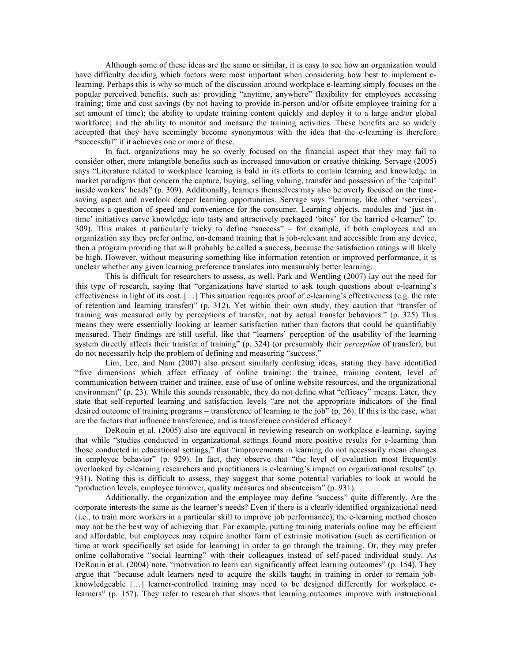Although some of these ideas are the same or similar, it is easy to see how an organization would have difficulty deciding which factors were most important when considering how best to implement elearning. Perhaps this is why so much of the discussion around workplace e-learning simply focuses on the popular perceived benefits, such as: providing "anytime, anywhere" flexibility for employees accessing training; time and cost savings (by not having to provide in-person and/or offsite employee training for a set amount of time); the ability to update training content quickly and deploy it to a large and/or global workforce; and the ability to monitor and measure the training activities. These benefits are so widely accepted that they have seemingly become synonymous with the idea that the e-learning is therefore "successful" if it achieves one or more of these.

In fact, organizations may be so overly focused on the financial aspect that they may fail to consider other, more intangible benefits such as increased innovation or creative thinking. Servage (2005) says "Literature related to workplace learning is bald in its efforts to contain learning and knowledge in market paradigms that concern the capture, buying, selling valuing, transfer and possession of the 'capital' inside workers' heads" (p. 309). Additionally, learners themselves may also be overly focused on the timesaving aspect and overlook deeper learning opportunities. Servage says "learning, like other 'services', becomes a question of speed and convenience for the consumer. Learning objects, modules and 'just-intime' initiatives carve knowledge into tasty and attractively packaged 'bites' for the harried e-learner" (p. 309). This makes it particularly tricky to define "success" – for example, if both employees and an organization say they prefer online, on-demand training that is job-relevant and accessible from any device, then a program providing that will probably be called a success, because the satisfaction ratings will likely be high. However, without measuring something like information retention or improved performance, it is unclear whether any given learning preference translates into measurably better learning.

This is difficult for researchers to assess, as well. Park and Wentling (2007) lay out the need for this type of research, saying that "organizations have started to ask tough questions about e-learning's effectiveness in light of its cost. […] This situation requires proof of e-learning's effectiveness (e.g. the rate of retention and learning transfer)" (p. 312). Yet within their own study, they caution that "transfer of training was measured only by perceptions of transfer, not by actual transfer behaviors." (p. 325) This means they were essentially looking at learner satisfaction rather than factors that could be quantifiably measured. Their findings are still useful, like that "learners' perception of the usability of the learning system directly affects their transfer of training" (p. 324) (or presumably their *perception* of transfer), but do not necessarily help the problem of defining and measuring "success."

Lim, Lee, and Nam (2007) also present similarly confusing ideas, stating they have identified "five dimensions which affect efficacy of online training: the trainee, training content, level of communication between trainer and trainee, ease of use of online website resources, and the organizational environment" (p. 23). While this sounds reasonable, they do not define what "efficacy" means. Later, they state that self-reported learning and satisfaction levels "are not the appropriate indicators of the final desired outcome of training programs – transference of learning to the job" (p. 26). If this is the case, what are the factors that influence transference, and is transference considered efficacy?

DeRouin et al. (2005) also are equivocal in reviewing research on workplace e-learning, saying that while "studies conducted in organizational settings found more positive results for e-learning than those conducted in educational settings," that "improvements in learning do not necessarily mean changes in employee behavior" (p. 929). In fact, they observe that "the level of evaluation most frequently overlooked by e-learning researchers and practitioners is e-learning's impact on organizational results" (p. 931). Noting this is difficult to assess, they suggest that some potential variables to look at would be "production levels, employee turnover, quality measures and absenteeism" (p. 931).

Additionally, the organization and the employee may define "success" quite differently. Are the corporate interests the same as the learner's needs? Even if there is a clearly identified organizational need (i.e., to train more workers in a particular skill to improve job performance), the e-learning method chosen may not be the best way of achieving that. For example, putting training materials online may be efficient and affordable, but employees may require another form of extrinsic motivation (such as certification or time at work specifically set aside for learning) in order to go through the training. Or, they may prefer online collaborative "social learning" with their colleagues instead of self-paced individual study. As DeRouin et al. (2004) note, "motivation to learn can significantly affect learning outcomes" (p. 154). They argue that "because adult learners need to acquire the skills taught in training in order to remain jobknowledgeable […] learner-controlled training may need to be designed differently for workplace elearners" (p. 157). They refer to research that shows that learning outcomes improve with instructional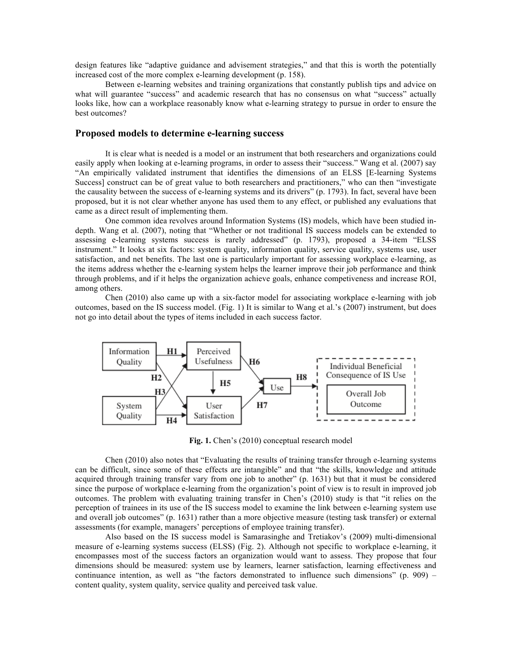design features like "adaptive guidance and advisement strategies," and that this is worth the potentially increased cost of the more complex e-learning development (p. 158).

Between e-learning websites and training organizations that constantly publish tips and advice on what will guarantee "success" and academic research that has no consensus on what "success" actually looks like, how can a workplace reasonably know what e-learning strategy to pursue in order to ensure the best outcomes?

## **Proposed models to determine e-learning success**

It is clear what is needed is a model or an instrument that both researchers and organizations could easily apply when looking at e-learning programs, in order to assess their "success." Wang et al. (2007) say "An empirically validated instrument that identifies the dimensions of an ELSS [E-learning Systems Success] construct can be of great value to both researchers and practitioners," who can then "investigate the causality between the success of e-learning systems and its drivers" (p. 1793). In fact, several have been proposed, but it is not clear whether anyone has used them to any effect, or published any evaluations that came as a direct result of implementing them.

One common idea revolves around Information Systems (IS) models, which have been studied indepth. Wang et al. (2007), noting that "Whether or not traditional IS success models can be extended to assessing e-learning systems success is rarely addressed" (p. 1793), proposed a 34-item "ELSS instrument." It looks at six factors: system quality, information quality, service quality, systems use, user satisfaction, and net benefits. The last one is particularly important for assessing workplace e-learning, as the items address whether the e-learning system helps the learner improve their job performance and think through problems, and if it helps the organization achieve goals, enhance competiveness and increase ROI, among others.

Chen (2010) also came up with a six-factor model for associating workplace e-learning with job outcomes, based on the IS success model. (Fig. 1) It is similar to Wang et al.'s (2007) instrument, but does not go into detail about the types of items included in each success factor.



**Fig. 1.** Chen's (2010) conceptual research model

Chen (2010) also notes that "Evaluating the results of training transfer through e-learning systems can be difficult, since some of these effects are intangible" and that "the skills, knowledge and attitude acquired through training transfer vary from one job to another" (p. 1631) but that it must be considered since the purpose of workplace e-learning from the organization's point of view is to result in improved job outcomes. The problem with evaluating training transfer in Chen's (2010) study is that "it relies on the perception of trainees in its use of the IS success model to examine the link between e-learning system use and overall job outcomes" (p. 1631) rather than a more objective measure (testing task transfer) or external assessments (for example, managers' perceptions of employee training transfer).

Also based on the IS success model is Samarasinghe and Tretiakov's (2009) multi-dimensional measure of e-learning systems success (ELSS) (Fig. 2). Although not specific to workplace e-learning, it encompasses most of the success factors an organization would want to assess. They propose that four dimensions should be measured: system use by learners, learner satisfaction, learning effectiveness and continuance intention, as well as "the factors demonstrated to influence such dimensions" (p. 909) – content quality, system quality, service quality and perceived task value.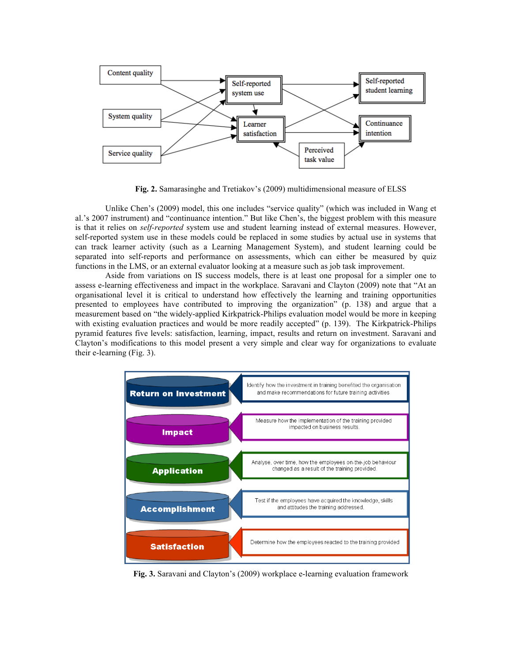

**Fig. 2.** Samarasinghe and Tretiakov's (2009) multidimensional measure of ELSS

Unlike Chen's (2009) model, this one includes "service quality" (which was included in Wang et al.'s 2007 instrument) and "continuance intention." But like Chen's, the biggest problem with this measure is that it relies on *self-reported* system use and student learning instead of external measures. However, self-reported system use in these models could be replaced in some studies by actual use in systems that can track learner activity (such as a Learning Management System), and student learning could be separated into self-reports and performance on assessments, which can either be measured by quiz functions in the LMS, or an external evaluator looking at a measure such as job task improvement.

Aside from variations on IS success models, there is at least one proposal for a simpler one to assess e-learning effectiveness and impact in the workplace. Saravani and Clayton (2009) note that "At an organisational level it is critical to understand how effectively the learning and training opportunities presented to employees have contributed to improving the organization" (p. 138) and argue that a measurement based on "the widely-applied Kirkpatrick-Philips evaluation model would be more in keeping with existing evaluation practices and would be more readily accepted" (p. 139). The Kirkpatrick-Philips pyramid features five levels: satisfaction, learning, impact, results and return on investment. Saravani and Clayton's modifications to this model present a very simple and clear way for organizations to evaluate their e-learning (Fig. 3).



**Fig. 3.** Saravani and Clayton's (2009) workplace e-learning evaluation framework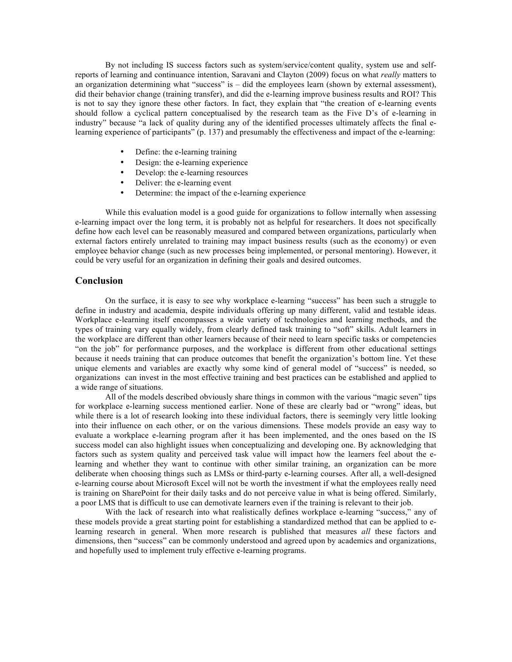By not including IS success factors such as system/service/content quality, system use and selfreports of learning and continuance intention, Saravani and Clayton (2009) focus on what *really* matters to an organization determining what "success" is – did the employees learn (shown by external assessment), did their behavior change (training transfer), and did the e-learning improve business results and ROI? This is not to say they ignore these other factors. In fact, they explain that "the creation of e-learning events should follow a cyclical pattern conceptualised by the research team as the Five D's of e-learning in industry" because "a lack of quality during any of the identified processes ultimately affects the final elearning experience of participants" (p. 137) and presumably the effectiveness and impact of the e-learning:

- Define: the e-learning training
- Design: the e-learning experience
- Develop: the e-learning resources
- Deliver: the e-learning event
- Determine: the impact of the e-learning experience

While this evaluation model is a good guide for organizations to follow internally when assessing e-learning impact over the long term, it is probably not as helpful for researchers. It does not specifically define how each level can be reasonably measured and compared between organizations, particularly when external factors entirely unrelated to training may impact business results (such as the economy) or even employee behavior change (such as new processes being implemented, or personal mentoring). However, it could be very useful for an organization in defining their goals and desired outcomes.

## **Conclusion**

On the surface, it is easy to see why workplace e-learning "success" has been such a struggle to define in industry and academia, despite individuals offering up many different, valid and testable ideas. Workplace e-learning itself encompasses a wide variety of technologies and learning methods, and the types of training vary equally widely, from clearly defined task training to "soft" skills. Adult learners in the workplace are different than other learners because of their need to learn specific tasks or competencies "on the job" for performance purposes, and the workplace is different from other educational settings because it needs training that can produce outcomes that benefit the organization's bottom line. Yet these unique elements and variables are exactly why some kind of general model of "success" is needed, so organizations can invest in the most effective training and best practices can be established and applied to a wide range of situations.

All of the models described obviously share things in common with the various "magic seven" tips for workplace e-learning success mentioned earlier. None of these are clearly bad or "wrong" ideas, but while there is a lot of research looking into these individual factors, there is seemingly very little looking into their influence on each other, or on the various dimensions. These models provide an easy way to evaluate a workplace e-learning program after it has been implemented, and the ones based on the IS success model can also highlight issues when conceptualizing and developing one. By acknowledging that factors such as system quality and perceived task value will impact how the learners feel about the elearning and whether they want to continue with other similar training, an organization can be more deliberate when choosing things such as LMSs or third-party e-learning courses. After all, a well-designed e-learning course about Microsoft Excel will not be worth the investment if what the employees really need is training on SharePoint for their daily tasks and do not perceive value in what is being offered. Similarly, a poor LMS that is difficult to use can demotivate learners even if the training is relevant to their job.

With the lack of research into what realistically defines workplace e-learning "success," any of these models provide a great starting point for establishing a standardized method that can be applied to elearning research in general. When more research is published that measures *all* these factors and dimensions, then "success" can be commonly understood and agreed upon by academics and organizations, and hopefully used to implement truly effective e-learning programs.